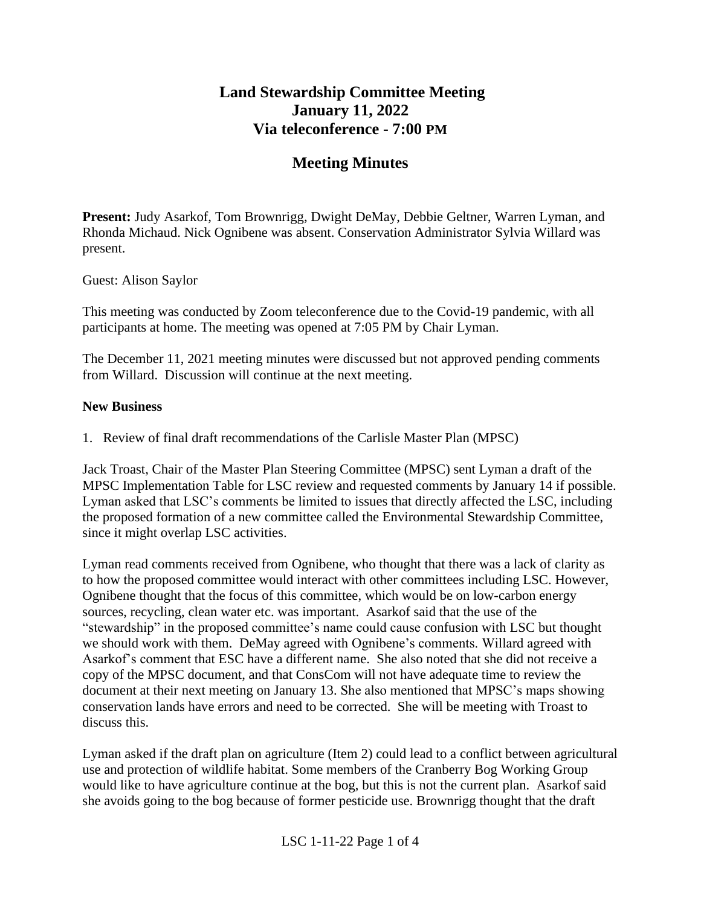# **Land Stewardship Committee Meeting January 11, 2022 Via teleconference - 7:00 PM**

# **Meeting Minutes**

**Present:** Judy Asarkof, Tom Brownrigg, Dwight DeMay, Debbie Geltner, Warren Lyman, and Rhonda Michaud. Nick Ognibene was absent. Conservation Administrator Sylvia Willard was present.

Guest: Alison Saylor

This meeting was conducted by Zoom teleconference due to the Covid-19 pandemic, with all participants at home. The meeting was opened at 7:05 PM by Chair Lyman.

The December 11, 2021 meeting minutes were discussed but not approved pending comments from Willard. Discussion will continue at the next meeting.

#### **New Business**

1. Review of final draft recommendations of the Carlisle Master Plan (MPSC)

Jack Troast, Chair of the Master Plan Steering Committee (MPSC) sent Lyman a draft of the MPSC Implementation Table for LSC review and requested comments by January 14 if possible. Lyman asked that LSC's comments be limited to issues that directly affected the LSC, including the proposed formation of a new committee called the Environmental Stewardship Committee, since it might overlap LSC activities.

Lyman read comments received from Ognibene, who thought that there was a lack of clarity as to how the proposed committee would interact with other committees including LSC. However, Ognibene thought that the focus of this committee, which would be on low-carbon energy sources, recycling, clean water etc. was important. Asarkof said that the use of the "stewardship" in the proposed committee's name could cause confusion with LSC but thought we should work with them. DeMay agreed with Ognibene's comments. Willard agreed with Asarkof's comment that ESC have a different name. She also noted that she did not receive a copy of the MPSC document, and that ConsCom will not have adequate time to review the document at their next meeting on January 13. She also mentioned that MPSC's maps showing conservation lands have errors and need to be corrected. She will be meeting with Troast to discuss this.

Lyman asked if the draft plan on agriculture (Item 2) could lead to a conflict between agricultural use and protection of wildlife habitat. Some members of the Cranberry Bog Working Group would like to have agriculture continue at the bog, but this is not the current plan. Asarkof said she avoids going to the bog because of former pesticide use. Brownrigg thought that the draft

LSC 1-11-22 Page 1 of 4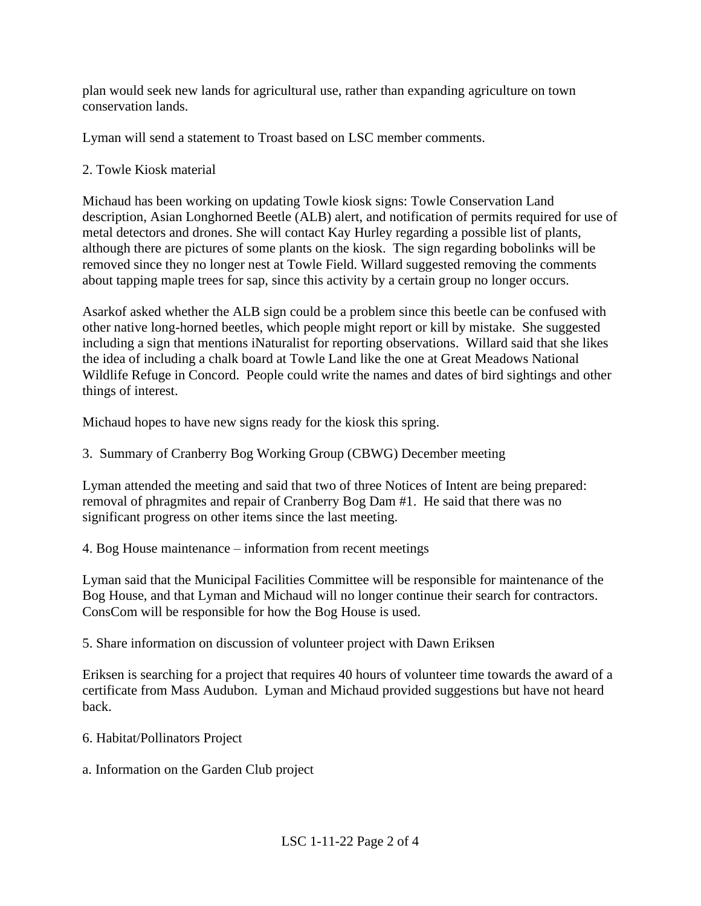plan would seek new lands for agricultural use, rather than expanding agriculture on town conservation lands.

Lyman will send a statement to Troast based on LSC member comments.

## 2. Towle Kiosk material

Michaud has been working on updating Towle kiosk signs: Towle Conservation Land description, Asian Longhorned Beetle (ALB) alert, and notification of permits required for use of metal detectors and drones. She will contact Kay Hurley regarding a possible list of plants, although there are pictures of some plants on the kiosk. The sign regarding bobolinks will be removed since they no longer nest at Towle Field. Willard suggested removing the comments about tapping maple trees for sap, since this activity by a certain group no longer occurs.

Asarkof asked whether the ALB sign could be a problem since this beetle can be confused with other native long-horned beetles, which people might report or kill by mistake. She suggested including a sign that mentions iNaturalist for reporting observations. Willard said that she likes the idea of including a chalk board at Towle Land like the one at Great Meadows National Wildlife Refuge in Concord. People could write the names and dates of bird sightings and other things of interest.

Michaud hopes to have new signs ready for the kiosk this spring.

3. Summary of Cranberry Bog Working Group (CBWG) December meeting

Lyman attended the meeting and said that two of three Notices of Intent are being prepared: removal of phragmites and repair of Cranberry Bog Dam #1. He said that there was no significant progress on other items since the last meeting.

4. Bog House maintenance – information from recent meetings

Lyman said that the Municipal Facilities Committee will be responsible for maintenance of the Bog House, and that Lyman and Michaud will no longer continue their search for contractors. ConsCom will be responsible for how the Bog House is used.

5. Share information on discussion of volunteer project with Dawn Eriksen

Eriksen is searching for a project that requires 40 hours of volunteer time towards the award of a certificate from Mass Audubon. Lyman and Michaud provided suggestions but have not heard back.

6. Habitat/Pollinators Project

a. Information on the Garden Club project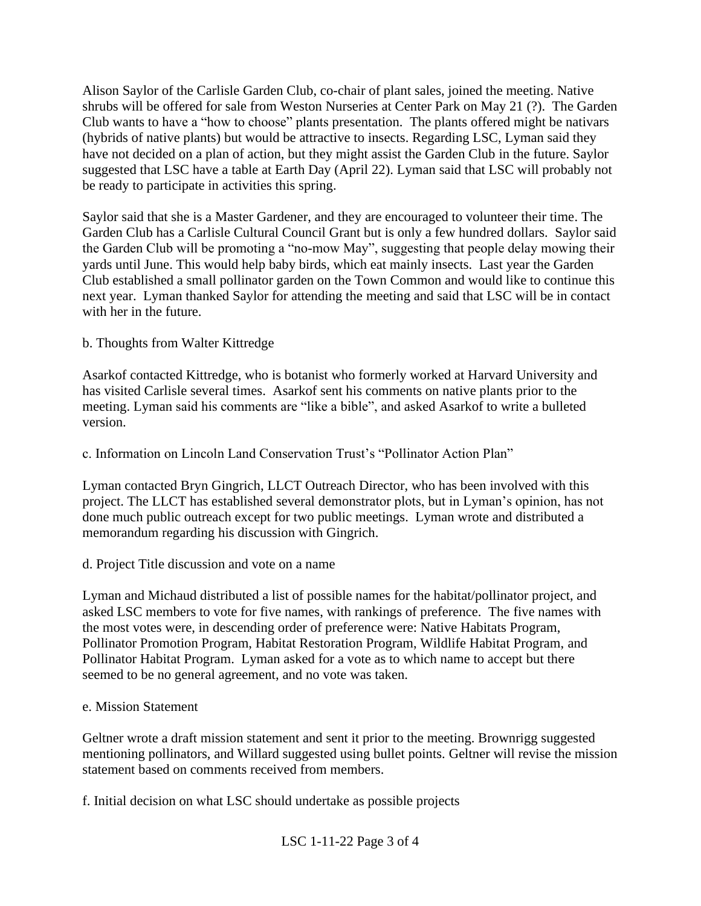Alison Saylor of the Carlisle Garden Club, co-chair of plant sales, joined the meeting. Native shrubs will be offered for sale from Weston Nurseries at Center Park on May 21 (?). The Garden Club wants to have a "how to choose" plants presentation. The plants offered might be nativars (hybrids of native plants) but would be attractive to insects. Regarding LSC, Lyman said they have not decided on a plan of action, but they might assist the Garden Club in the future. Saylor suggested that LSC have a table at Earth Day (April 22). Lyman said that LSC will probably not be ready to participate in activities this spring.

Saylor said that she is a Master Gardener, and they are encouraged to volunteer their time. The Garden Club has a Carlisle Cultural Council Grant but is only a few hundred dollars. Saylor said the Garden Club will be promoting a "no-mow May", suggesting that people delay mowing their yards until June. This would help baby birds, which eat mainly insects. Last year the Garden Club established a small pollinator garden on the Town Common and would like to continue this next year. Lyman thanked Saylor for attending the meeting and said that LSC will be in contact with her in the future.

# b. Thoughts from Walter Kittredge

Asarkof contacted Kittredge, who is botanist who formerly worked at Harvard University and has visited Carlisle several times. Asarkof sent his comments on native plants prior to the meeting. Lyman said his comments are "like a bible", and asked Asarkof to write a bulleted version.

c. Information on Lincoln Land Conservation Trust's "Pollinator Action Plan"

Lyman contacted Bryn Gingrich, LLCT Outreach Director, who has been involved with this project. The LLCT has established several demonstrator plots, but in Lyman's opinion, has not done much public outreach except for two public meetings. Lyman wrote and distributed a memorandum regarding his discussion with Gingrich.

d. Project Title discussion and vote on a name

Lyman and Michaud distributed a list of possible names for the habitat/pollinator project, and asked LSC members to vote for five names, with rankings of preference. The five names with the most votes were, in descending order of preference were: Native Habitats Program, Pollinator Promotion Program, Habitat Restoration Program, Wildlife Habitat Program, and Pollinator Habitat Program. Lyman asked for a vote as to which name to accept but there seemed to be no general agreement, and no vote was taken.

## e. Mission Statement

Geltner wrote a draft mission statement and sent it prior to the meeting. Brownrigg suggested mentioning pollinators, and Willard suggested using bullet points. Geltner will revise the mission statement based on comments received from members.

f. Initial decision on what LSC should undertake as possible projects